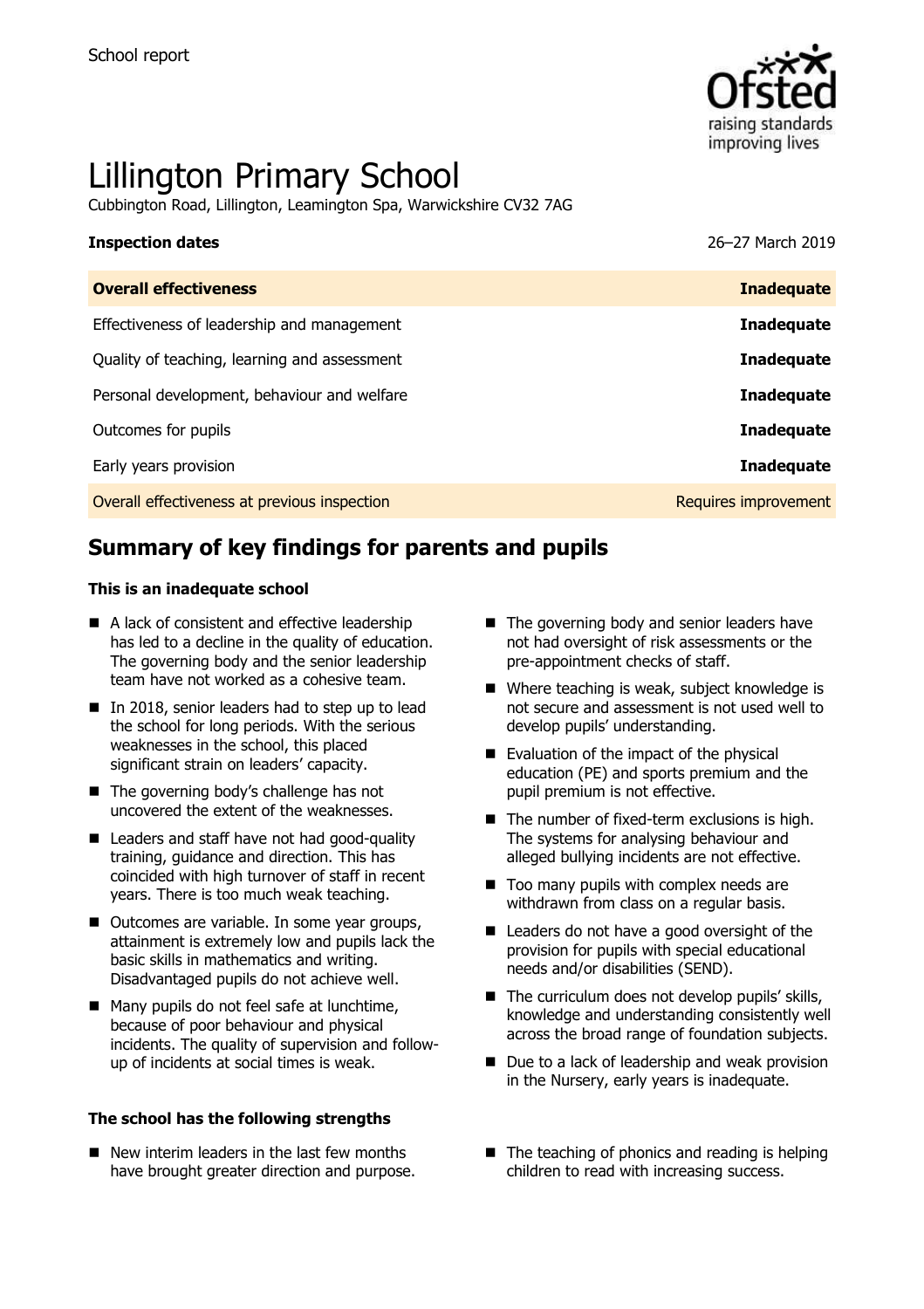

# Lillington Primary School

Cubbington Road, Lillington, Leamington Spa, Warwickshire CV32 7AG

# **Inspection dates** 26–27 March 2019

| <b>Overall effectiveness</b>                 | <b>Inadequate</b>    |
|----------------------------------------------|----------------------|
| Effectiveness of leadership and management   | <b>Inadequate</b>    |
| Quality of teaching, learning and assessment | <b>Inadequate</b>    |
| Personal development, behaviour and welfare  | <b>Inadequate</b>    |
| Outcomes for pupils                          | <b>Inadequate</b>    |
| Early years provision                        | <b>Inadequate</b>    |
| Overall effectiveness at previous inspection | Requires improvement |

# **Summary of key findings for parents and pupils**

### **This is an inadequate school**

- A lack of consistent and effective leadership has led to a decline in the quality of education. The governing body and the senior leadership team have not worked as a cohesive team.
- In 2018, senior leaders had to step up to lead the school for long periods. With the serious weaknesses in the school, this placed significant strain on leaders' capacity.
- The governing body's challenge has not uncovered the extent of the weaknesses.
- Leaders and staff have not had good-quality training, guidance and direction. This has coincided with high turnover of staff in recent years. There is too much weak teaching.
- Outcomes are variable. In some year groups, attainment is extremely low and pupils lack the basic skills in mathematics and writing. Disadvantaged pupils do not achieve well.
- Many pupils do not feel safe at lunchtime, because of poor behaviour and physical incidents. The quality of supervision and followup of incidents at social times is weak.

### **The school has the following strengths**

 $\blacksquare$  New interim leaders in the last few months have brought greater direction and purpose.

- $\blacksquare$  The governing body and senior leaders have not had oversight of risk assessments or the pre-appointment checks of staff.
- Where teaching is weak, subject knowledge is not secure and assessment is not used well to develop pupils' understanding.
- Evaluation of the impact of the physical education (PE) and sports premium and the pupil premium is not effective.
- $\blacksquare$  The number of fixed-term exclusions is high. The systems for analysing behaviour and alleged bullying incidents are not effective.
- Too many pupils with complex needs are withdrawn from class on a regular basis.
- Leaders do not have a good oversight of the provision for pupils with special educational needs and/or disabilities (SEND).
- The curriculum does not develop pupils' skills, knowledge and understanding consistently well across the broad range of foundation subjects.
- Due to a lack of leadership and weak provision in the Nursery, early years is inadequate.
- $\blacksquare$  The teaching of phonics and reading is helping children to read with increasing success.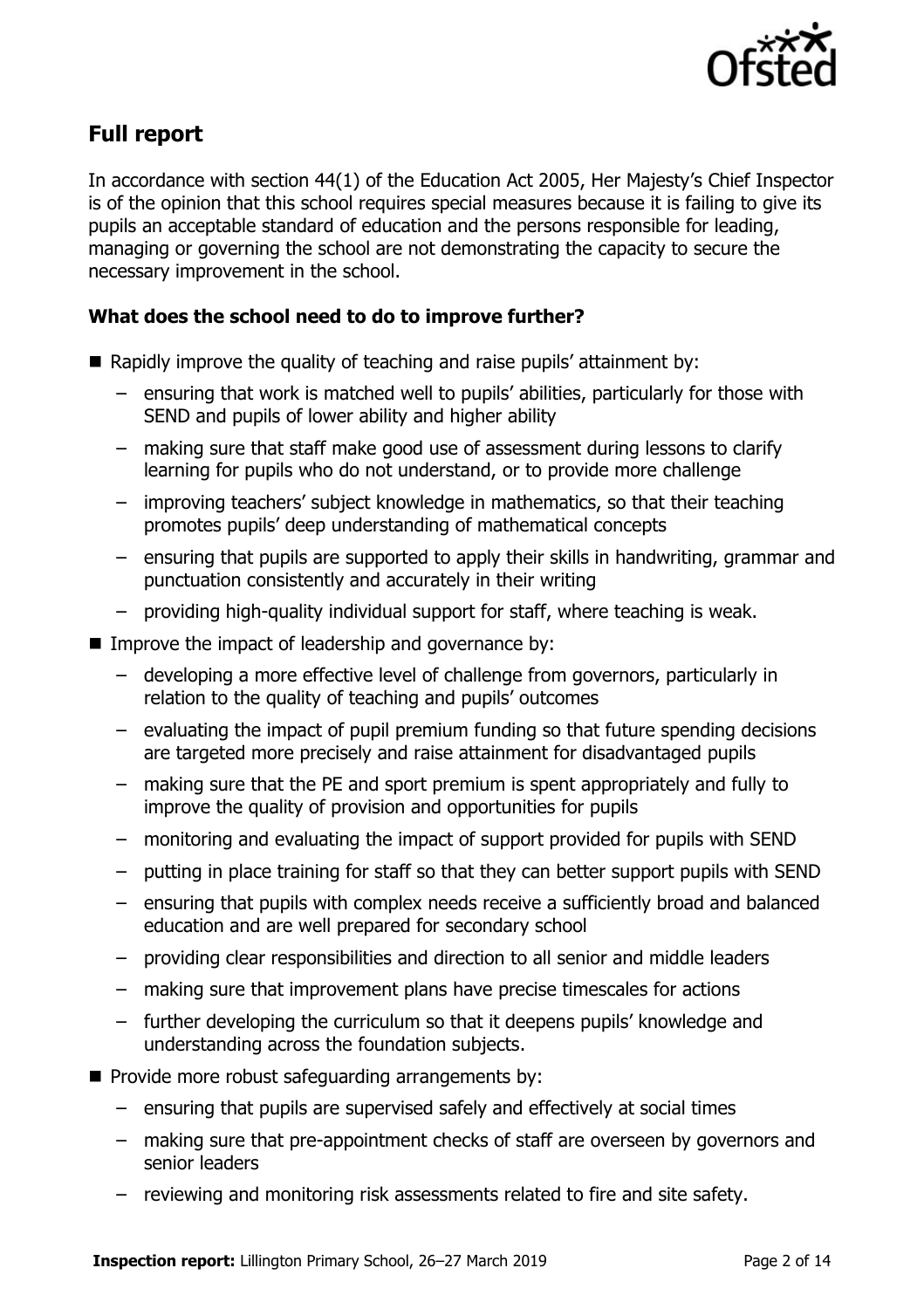

# **Full report**

In accordance with section 44(1) of the Education Act 2005, Her Majesty's Chief Inspector is of the opinion that this school requires special measures because it is failing to give its pupils an acceptable standard of education and the persons responsible for leading, managing or governing the school are not demonstrating the capacity to secure the necessary improvement in the school.

### **What does the school need to do to improve further?**

- Rapidly improve the quality of teaching and raise pupils' attainment by:
	- ensuring that work is matched well to pupils' abilities, particularly for those with SEND and pupils of lower ability and higher ability
	- making sure that staff make good use of assessment during lessons to clarify learning for pupils who do not understand, or to provide more challenge
	- improving teachers' subject knowledge in mathematics, so that their teaching promotes pupils' deep understanding of mathematical concepts
	- ensuring that pupils are supported to apply their skills in handwriting, grammar and punctuation consistently and accurately in their writing
	- providing high-quality individual support for staff, where teaching is weak.
- Improve the impact of leadership and governance by:
	- developing a more effective level of challenge from governors, particularly in relation to the quality of teaching and pupils' outcomes
	- evaluating the impact of pupil premium funding so that future spending decisions are targeted more precisely and raise attainment for disadvantaged pupils
	- making sure that the PE and sport premium is spent appropriately and fully to improve the quality of provision and opportunities for pupils
	- monitoring and evaluating the impact of support provided for pupils with SEND
	- putting in place training for staff so that they can better support pupils with SEND
	- ensuring that pupils with complex needs receive a sufficiently broad and balanced education and are well prepared for secondary school
	- providing clear responsibilities and direction to all senior and middle leaders
	- making sure that improvement plans have precise timescales for actions
	- further developing the curriculum so that it deepens pupils' knowledge and understanding across the foundation subjects.
- Provide more robust safeguarding arrangements by:
	- ensuring that pupils are supervised safely and effectively at social times
	- making sure that pre-appointment checks of staff are overseen by governors and senior leaders
	- reviewing and monitoring risk assessments related to fire and site safety.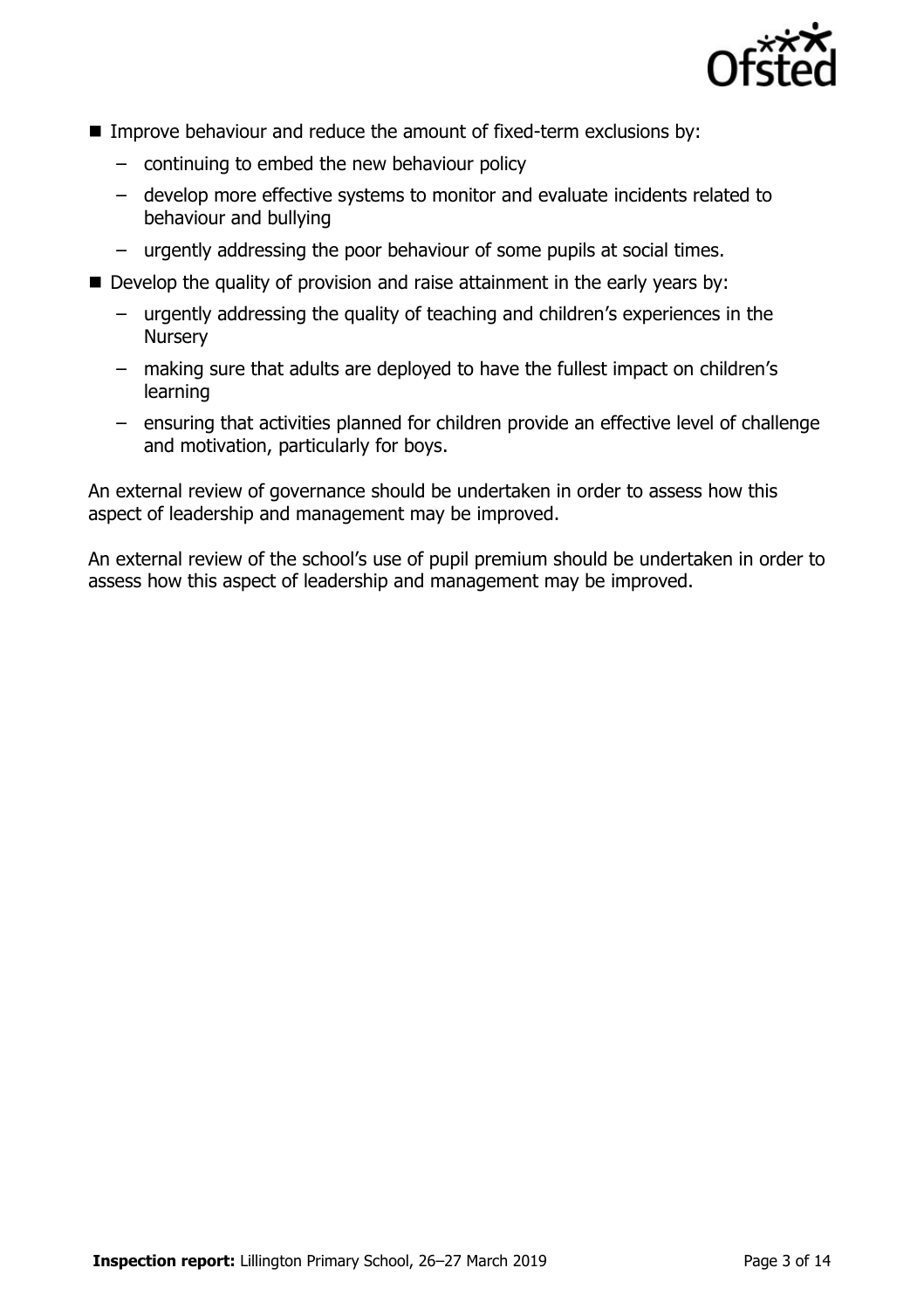

- **IMPROVE BEHAVIOUT AND REDUCE THE AMOUNT OF FIXE ATTEM EXCLUSIONS by:** 
	- continuing to embed the new behaviour policy
	- develop more effective systems to monitor and evaluate incidents related to behaviour and bullying
	- urgently addressing the poor behaviour of some pupils at social times.
- Develop the quality of provision and raise attainment in the early years by:
	- urgently addressing the quality of teaching and children's experiences in the **Nursery**
	- making sure that adults are deployed to have the fullest impact on children's learning
	- ensuring that activities planned for children provide an effective level of challenge and motivation, particularly for boys.

An external review of governance should be undertaken in order to assess how this aspect of leadership and management may be improved.

An external review of the school's use of pupil premium should be undertaken in order to assess how this aspect of leadership and management may be improved.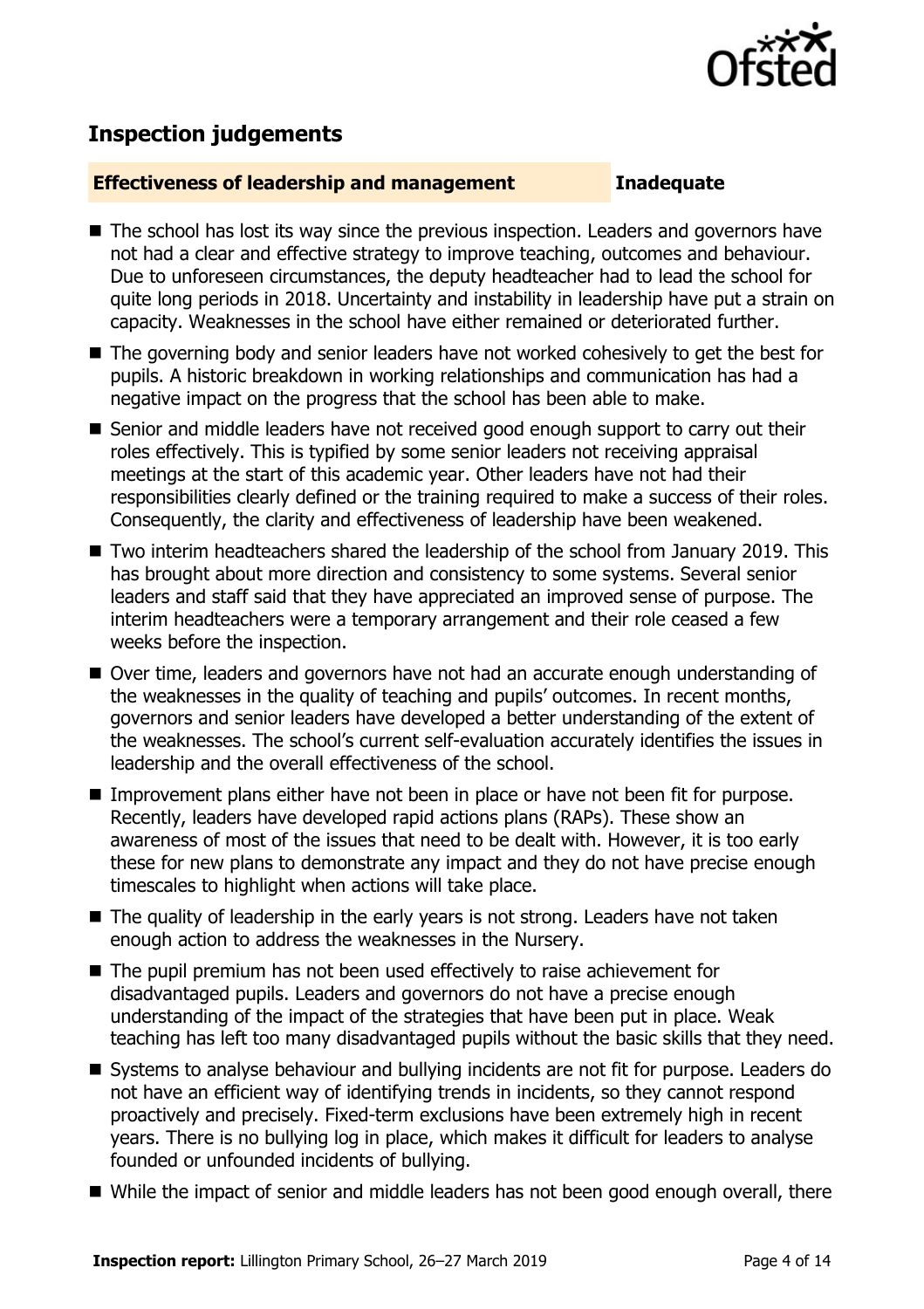

# **Inspection judgements**

### **Effectiveness of leadership and management Inadequate**

- The school has lost its way since the previous inspection. Leaders and governors have not had a clear and effective strategy to improve teaching, outcomes and behaviour. Due to unforeseen circumstances, the deputy headteacher had to lead the school for quite long periods in 2018. Uncertainty and instability in leadership have put a strain on capacity. Weaknesses in the school have either remained or deteriorated further.
- The governing body and senior leaders have not worked cohesively to get the best for pupils. A historic breakdown in working relationships and communication has had a negative impact on the progress that the school has been able to make.
- Senior and middle leaders have not received good enough support to carry out their roles effectively. This is typified by some senior leaders not receiving appraisal meetings at the start of this academic year. Other leaders have not had their responsibilities clearly defined or the training required to make a success of their roles. Consequently, the clarity and effectiveness of leadership have been weakened.
- Two interim headteachers shared the leadership of the school from January 2019. This has brought about more direction and consistency to some systems. Several senior leaders and staff said that they have appreciated an improved sense of purpose. The interim headteachers were a temporary arrangement and their role ceased a few weeks before the inspection.
- Over time, leaders and governors have not had an accurate enough understanding of the weaknesses in the quality of teaching and pupils' outcomes. In recent months, governors and senior leaders have developed a better understanding of the extent of the weaknesses. The school's current self-evaluation accurately identifies the issues in leadership and the overall effectiveness of the school.
- Improvement plans either have not been in place or have not been fit for purpose. Recently, leaders have developed rapid actions plans (RAPs). These show an awareness of most of the issues that need to be dealt with. However, it is too early these for new plans to demonstrate any impact and they do not have precise enough timescales to highlight when actions will take place.
- The quality of leadership in the early years is not strong. Leaders have not taken enough action to address the weaknesses in the Nursery.
- The pupil premium has not been used effectively to raise achievement for disadvantaged pupils. Leaders and governors do not have a precise enough understanding of the impact of the strategies that have been put in place. Weak teaching has left too many disadvantaged pupils without the basic skills that they need.
- Systems to analyse behaviour and bullying incidents are not fit for purpose. Leaders do not have an efficient way of identifying trends in incidents, so they cannot respond proactively and precisely. Fixed-term exclusions have been extremely high in recent years. There is no bullying log in place, which makes it difficult for leaders to analyse founded or unfounded incidents of bullying.
- While the impact of senior and middle leaders has not been good enough overall, there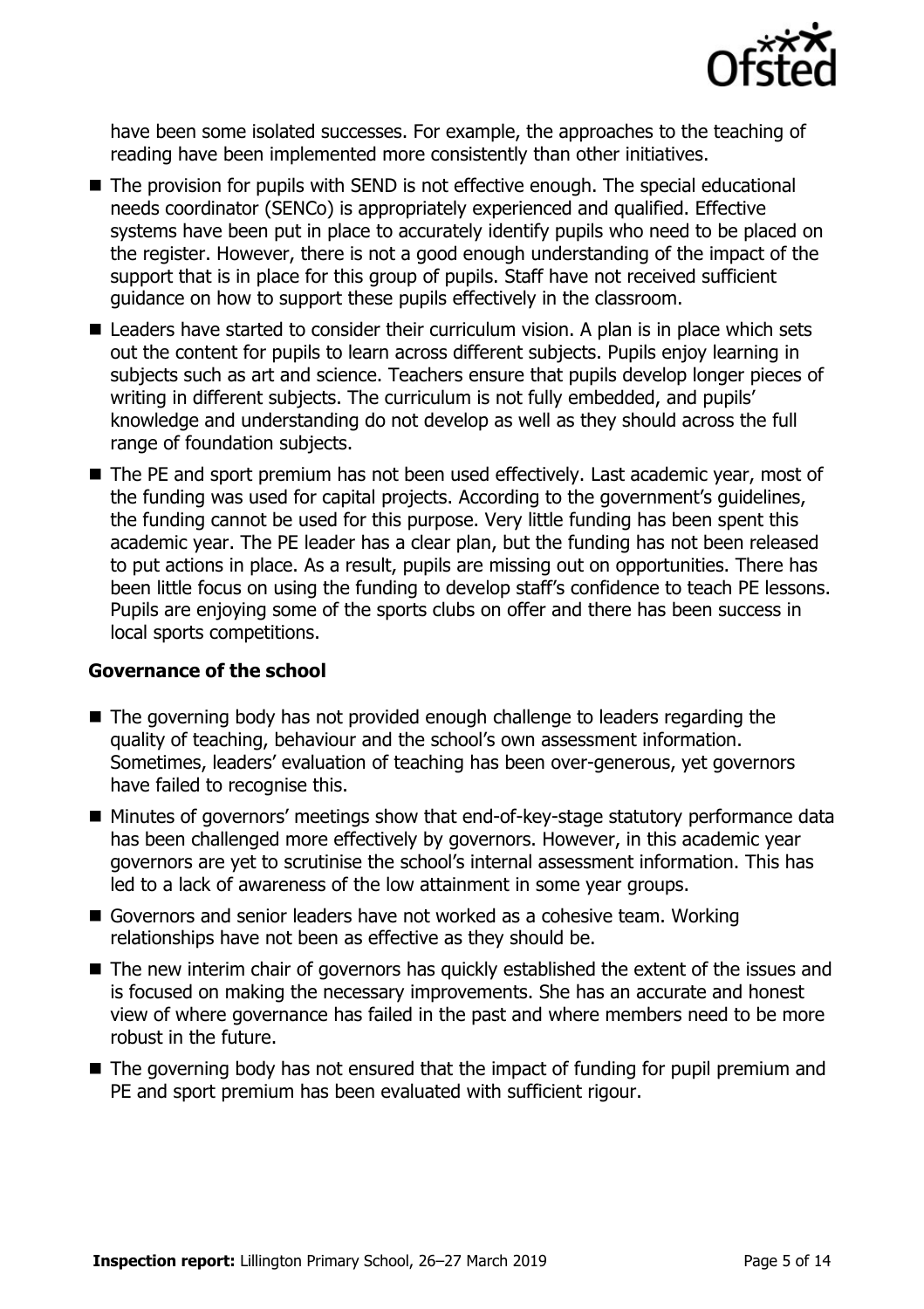

have been some isolated successes. For example, the approaches to the teaching of reading have been implemented more consistently than other initiatives.

- The provision for pupils with SEND is not effective enough. The special educational needs coordinator (SENCo) is appropriately experienced and qualified. Effective systems have been put in place to accurately identify pupils who need to be placed on the register. However, there is not a good enough understanding of the impact of the support that is in place for this group of pupils. Staff have not received sufficient guidance on how to support these pupils effectively in the classroom.
- Leaders have started to consider their curriculum vision. A plan is in place which sets out the content for pupils to learn across different subjects. Pupils enjoy learning in subjects such as art and science. Teachers ensure that pupils develop longer pieces of writing in different subjects. The curriculum is not fully embedded, and pupils' knowledge and understanding do not develop as well as they should across the full range of foundation subjects.
- The PE and sport premium has not been used effectively. Last academic year, most of the funding was used for capital projects. According to the government's guidelines, the funding cannot be used for this purpose. Very little funding has been spent this academic year. The PE leader has a clear plan, but the funding has not been released to put actions in place. As a result, pupils are missing out on opportunities. There has been little focus on using the funding to develop staff's confidence to teach PE lessons. Pupils are enjoying some of the sports clubs on offer and there has been success in local sports competitions.

### **Governance of the school**

- The governing body has not provided enough challenge to leaders regarding the quality of teaching, behaviour and the school's own assessment information. Sometimes, leaders' evaluation of teaching has been over-generous, yet governors have failed to recognise this.
- Minutes of governors' meetings show that end-of-key-stage statutory performance data has been challenged more effectively by governors. However, in this academic year governors are yet to scrutinise the school's internal assessment information. This has led to a lack of awareness of the low attainment in some year groups.
- Governors and senior leaders have not worked as a cohesive team. Working relationships have not been as effective as they should be.
- The new interim chair of governors has quickly established the extent of the issues and is focused on making the necessary improvements. She has an accurate and honest view of where governance has failed in the past and where members need to be more robust in the future.
- The governing body has not ensured that the impact of funding for pupil premium and PE and sport premium has been evaluated with sufficient rigour.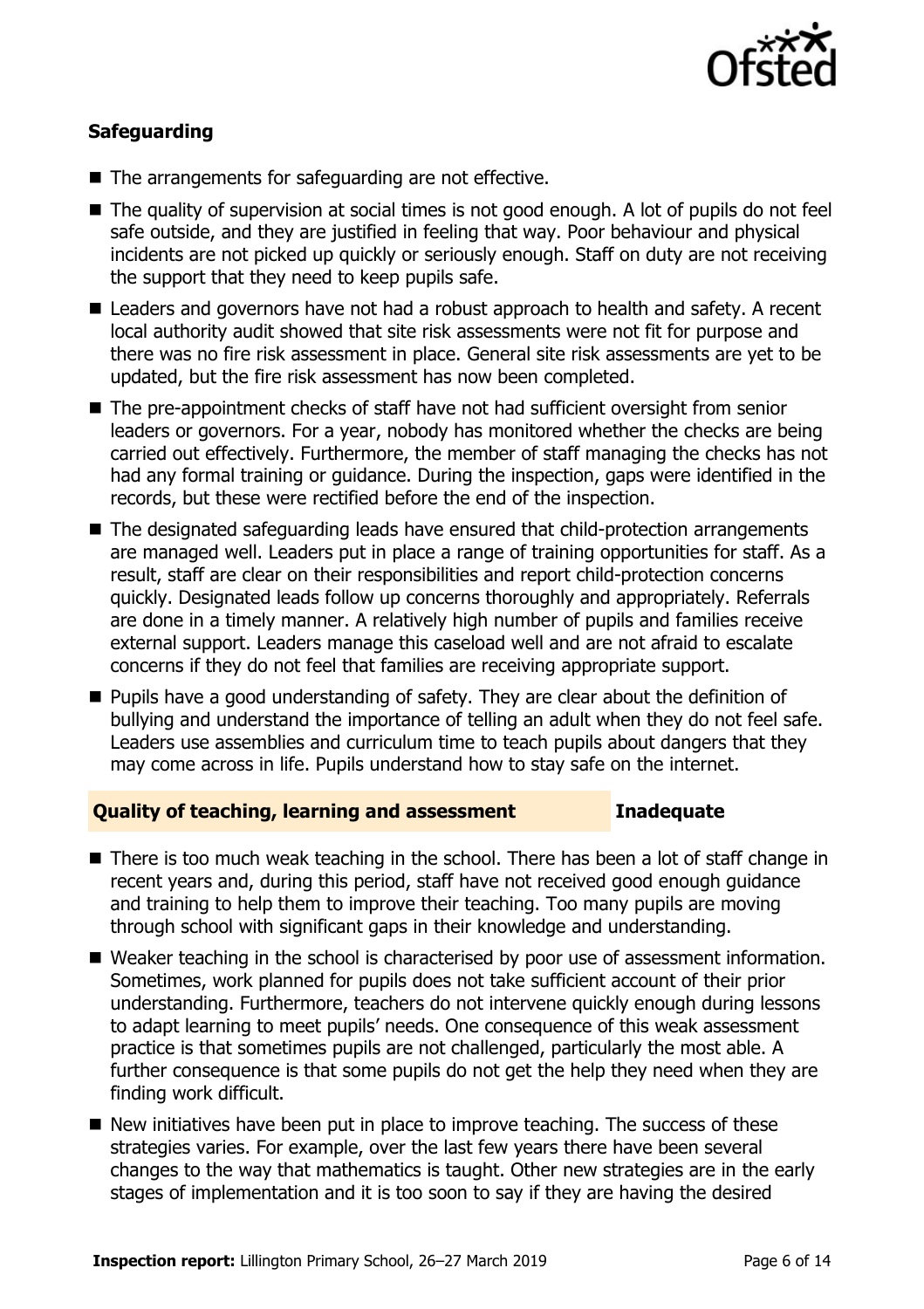

### **Safeguarding**

- The arrangements for safeguarding are not effective.
- The quality of supervision at social times is not good enough. A lot of pupils do not feel safe outside, and they are justified in feeling that way. Poor behaviour and physical incidents are not picked up quickly or seriously enough. Staff on duty are not receiving the support that they need to keep pupils safe.
- Leaders and governors have not had a robust approach to health and safety. A recent local authority audit showed that site risk assessments were not fit for purpose and there was no fire risk assessment in place. General site risk assessments are yet to be updated, but the fire risk assessment has now been completed.
- The pre-appointment checks of staff have not had sufficient oversight from senior leaders or governors. For a year, nobody has monitored whether the checks are being carried out effectively. Furthermore, the member of staff managing the checks has not had any formal training or guidance. During the inspection, gaps were identified in the records, but these were rectified before the end of the inspection.
- The designated safeguarding leads have ensured that child-protection arrangements are managed well. Leaders put in place a range of training opportunities for staff. As a result, staff are clear on their responsibilities and report child-protection concerns quickly. Designated leads follow up concerns thoroughly and appropriately. Referrals are done in a timely manner. A relatively high number of pupils and families receive external support. Leaders manage this caseload well and are not afraid to escalate concerns if they do not feel that families are receiving appropriate support.
- **Pupils have a good understanding of safety. They are clear about the definition of** bullying and understand the importance of telling an adult when they do not feel safe. Leaders use assemblies and curriculum time to teach pupils about dangers that they may come across in life. Pupils understand how to stay safe on the internet.

### **Quality of teaching, learning and assessment Inadequate**

- There is too much weak teaching in the school. There has been a lot of staff change in recent years and, during this period, staff have not received good enough guidance and training to help them to improve their teaching. Too many pupils are moving through school with significant gaps in their knowledge and understanding.
- Weaker teaching in the school is characterised by poor use of assessment information. Sometimes, work planned for pupils does not take sufficient account of their prior understanding. Furthermore, teachers do not intervene quickly enough during lessons to adapt learning to meet pupils' needs. One consequence of this weak assessment practice is that sometimes pupils are not challenged, particularly the most able. A further consequence is that some pupils do not get the help they need when they are finding work difficult.
- $\blacksquare$  New initiatives have been put in place to improve teaching. The success of these strategies varies. For example, over the last few years there have been several changes to the way that mathematics is taught. Other new strategies are in the early stages of implementation and it is too soon to say if they are having the desired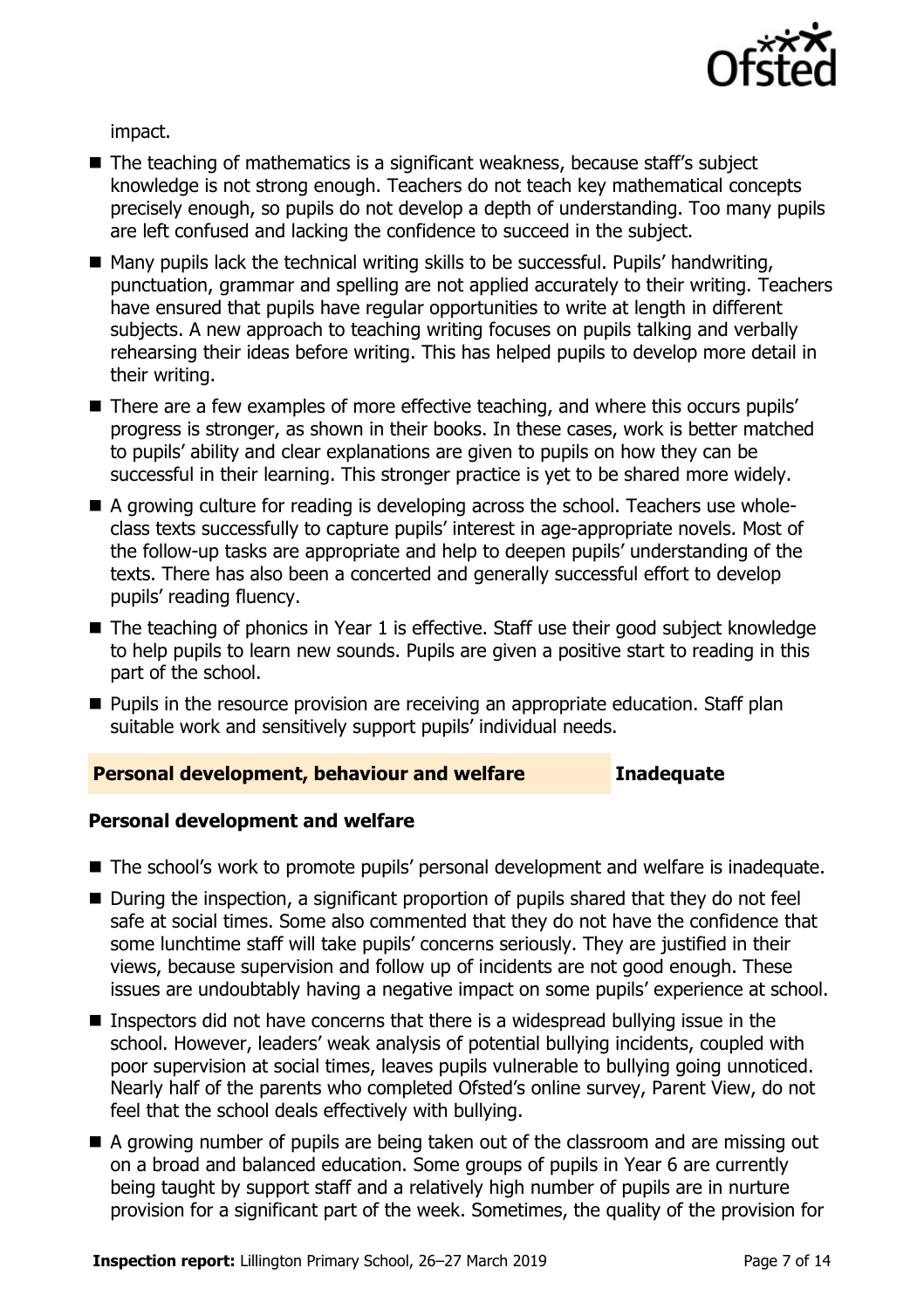

impact.

- The teaching of mathematics is a significant weakness, because staff's subject knowledge is not strong enough. Teachers do not teach key mathematical concepts precisely enough, so pupils do not develop a depth of understanding. Too many pupils are left confused and lacking the confidence to succeed in the subject.
- Many pupils lack the technical writing skills to be successful. Pupils' handwriting, punctuation, grammar and spelling are not applied accurately to their writing. Teachers have ensured that pupils have regular opportunities to write at length in different subjects. A new approach to teaching writing focuses on pupils talking and verbally rehearsing their ideas before writing. This has helped pupils to develop more detail in their writing.
- There are a few examples of more effective teaching, and where this occurs pupils' progress is stronger, as shown in their books. In these cases, work is better matched to pupils' ability and clear explanations are given to pupils on how they can be successful in their learning. This stronger practice is yet to be shared more widely.
- A growing culture for reading is developing across the school. Teachers use wholeclass texts successfully to capture pupils' interest in age-appropriate novels. Most of the follow-up tasks are appropriate and help to deepen pupils' understanding of the texts. There has also been a concerted and generally successful effort to develop pupils' reading fluency.
- The teaching of phonics in Year 1 is effective. Staff use their good subject knowledge to help pupils to learn new sounds. Pupils are given a positive start to reading in this part of the school.
- **Pupils in the resource provision are receiving an appropriate education. Staff plan** suitable work and sensitively support pupils' individual needs.

### **Personal development, behaviour and welfare Inadequate**

### **Personal development and welfare**

- The school's work to promote pupils' personal development and welfare is inadequate.
- During the inspection, a significant proportion of pupils shared that they do not feel safe at social times. Some also commented that they do not have the confidence that some lunchtime staff will take pupils' concerns seriously. They are justified in their views, because supervision and follow up of incidents are not good enough. These issues are undoubtably having a negative impact on some pupils' experience at school.
- **Inspectors did not have concerns that there is a widespread bullying issue in the** school. However, leaders' weak analysis of potential bullying incidents, coupled with poor supervision at social times, leaves pupils vulnerable to bullying going unnoticed. Nearly half of the parents who completed Ofsted's online survey, Parent View, do not feel that the school deals effectively with bullying.
- A growing number of pupils are being taken out of the classroom and are missing out on a broad and balanced education. Some groups of pupils in Year 6 are currently being taught by support staff and a relatively high number of pupils are in nurture provision for a significant part of the week. Sometimes, the quality of the provision for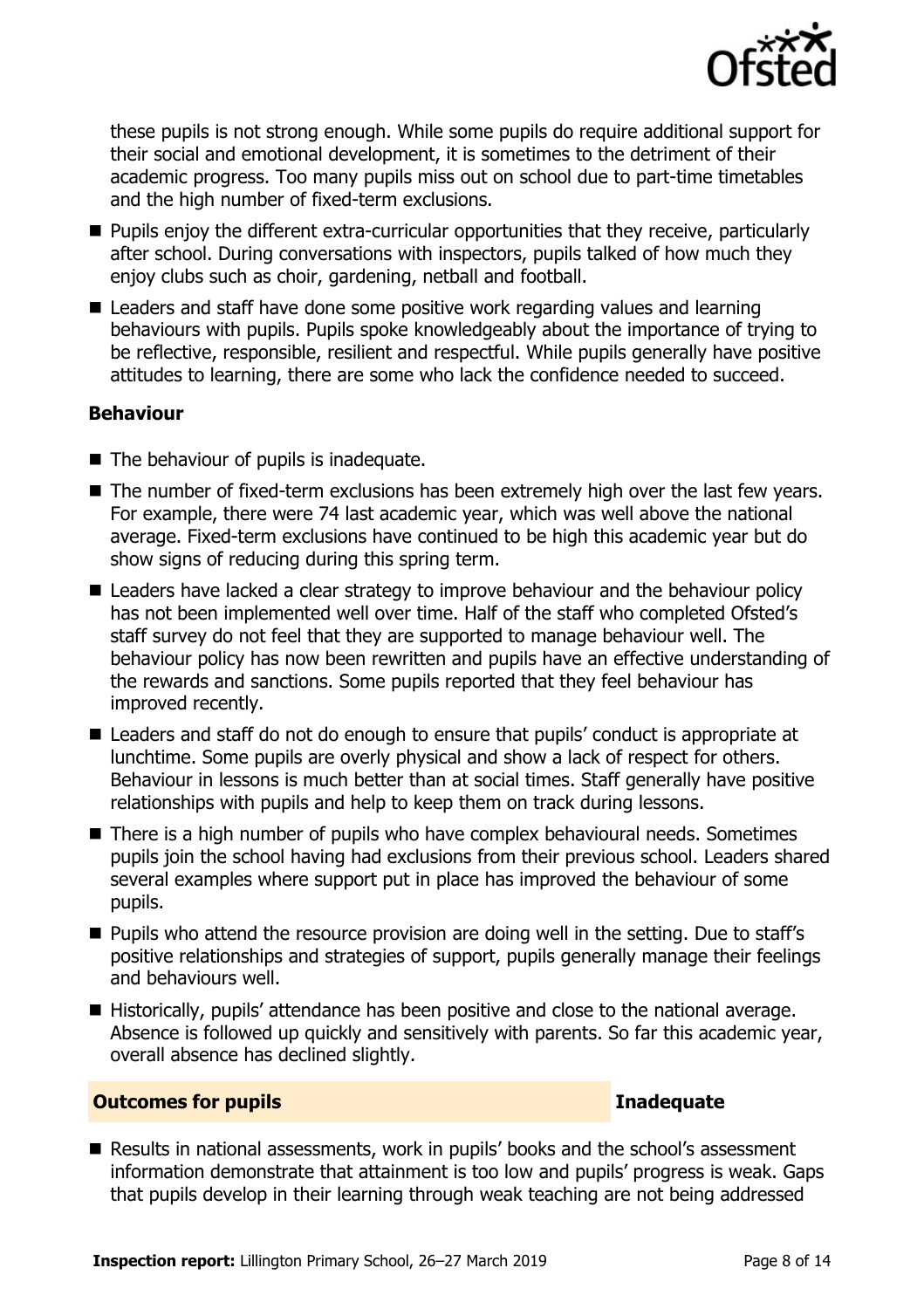

these pupils is not strong enough. While some pupils do require additional support for their social and emotional development, it is sometimes to the detriment of their academic progress. Too many pupils miss out on school due to part-time timetables and the high number of fixed-term exclusions.

- Pupils enjoy the different extra-curricular opportunities that they receive, particularly after school. During conversations with inspectors, pupils talked of how much they enjoy clubs such as choir, gardening, netball and football.
- Leaders and staff have done some positive work regarding values and learning behaviours with pupils. Pupils spoke knowledgeably about the importance of trying to be reflective, responsible, resilient and respectful. While pupils generally have positive attitudes to learning, there are some who lack the confidence needed to succeed.

### **Behaviour**

- The behaviour of pupils is inadequate.
- The number of fixed-term exclusions has been extremely high over the last few years. For example, there were 74 last academic year, which was well above the national average. Fixed-term exclusions have continued to be high this academic year but do show signs of reducing during this spring term.
- Leaders have lacked a clear strategy to improve behaviour and the behaviour policy has not been implemented well over time. Half of the staff who completed Ofsted's staff survey do not feel that they are supported to manage behaviour well. The behaviour policy has now been rewritten and pupils have an effective understanding of the rewards and sanctions. Some pupils reported that they feel behaviour has improved recently.
- Leaders and staff do not do enough to ensure that pupils' conduct is appropriate at lunchtime. Some pupils are overly physical and show a lack of respect for others. Behaviour in lessons is much better than at social times. Staff generally have positive relationships with pupils and help to keep them on track during lessons.
- There is a high number of pupils who have complex behavioural needs. Sometimes pupils join the school having had exclusions from their previous school. Leaders shared several examples where support put in place has improved the behaviour of some pupils.
- **Pupils who attend the resource provision are doing well in the setting. Due to staff's** positive relationships and strategies of support, pupils generally manage their feelings and behaviours well.
- Historically, pupils' attendance has been positive and close to the national average. Absence is followed up quickly and sensitively with parents. So far this academic year, overall absence has declined slightly.

### **Outcomes for pupils Inadequate**

Results in national assessments, work in pupils' books and the school's assessment information demonstrate that attainment is too low and pupils' progress is weak. Gaps that pupils develop in their learning through weak teaching are not being addressed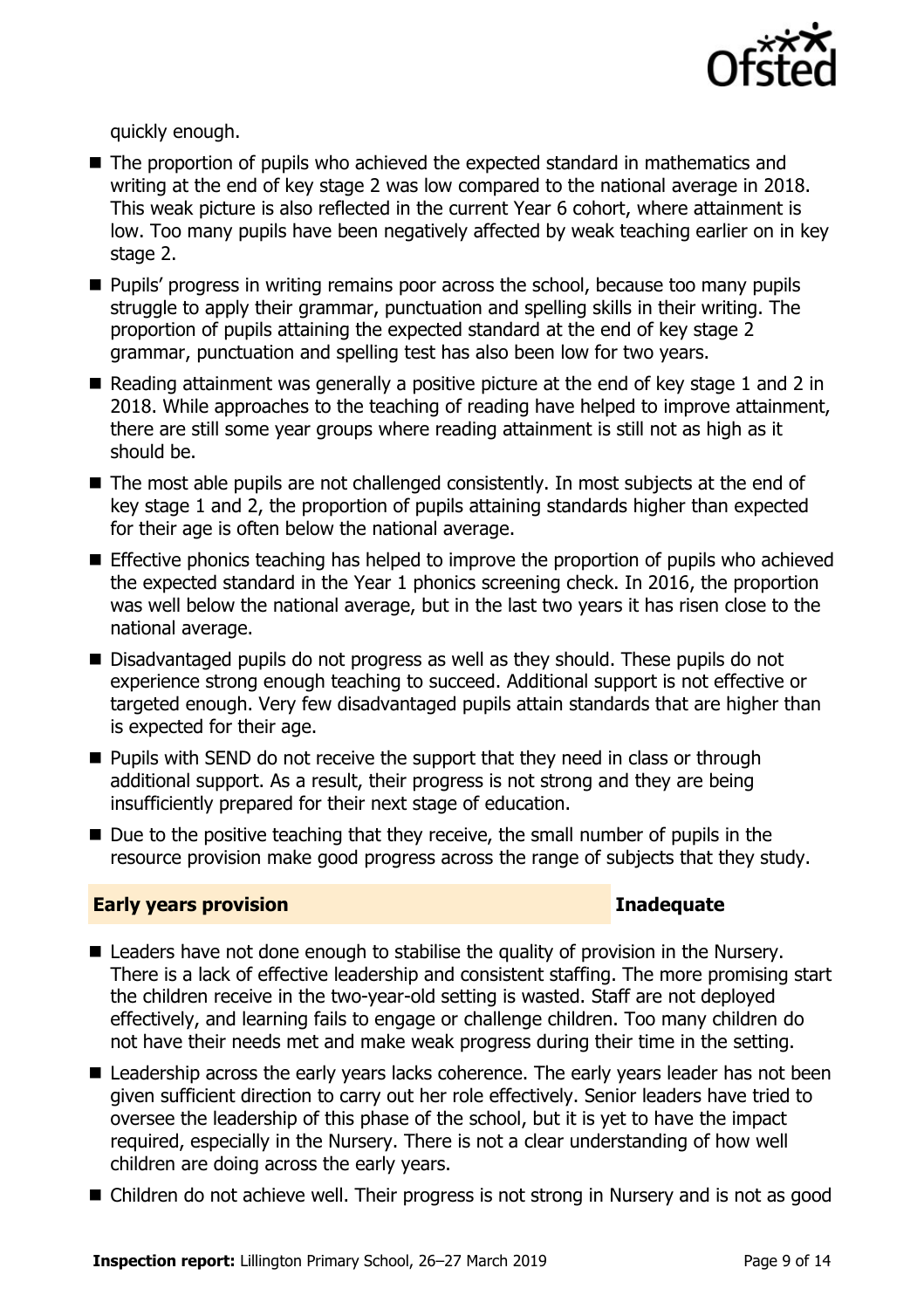

quickly enough.

- The proportion of pupils who achieved the expected standard in mathematics and writing at the end of key stage 2 was low compared to the national average in 2018. This weak picture is also reflected in the current Year 6 cohort, where attainment is low. Too many pupils have been negatively affected by weak teaching earlier on in key stage 2.
- **Pupils' progress in writing remains poor across the school, because too many pupils** struggle to apply their grammar, punctuation and spelling skills in their writing. The proportion of pupils attaining the expected standard at the end of key stage 2 grammar, punctuation and spelling test has also been low for two years.
- Reading attainment was generally a positive picture at the end of key stage 1 and 2 in 2018. While approaches to the teaching of reading have helped to improve attainment, there are still some year groups where reading attainment is still not as high as it should be.
- The most able pupils are not challenged consistently. In most subjects at the end of key stage 1 and 2, the proportion of pupils attaining standards higher than expected for their age is often below the national average.
- **Effective phonics teaching has helped to improve the proportion of pupils who achieved** the expected standard in the Year 1 phonics screening check. In 2016, the proportion was well below the national average, but in the last two years it has risen close to the national average.
- Disadvantaged pupils do not progress as well as they should. These pupils do not experience strong enough teaching to succeed. Additional support is not effective or targeted enough. Very few disadvantaged pupils attain standards that are higher than is expected for their age.
- **Pupils with SEND do not receive the support that they need in class or through** additional support. As a result, their progress is not strong and they are being insufficiently prepared for their next stage of education.
- $\blacksquare$  Due to the positive teaching that they receive, the small number of pupils in the resource provision make good progress across the range of subjects that they study.

### **Early years provision Inadequate**

- Leaders have not done enough to stabilise the quality of provision in the Nursery. There is a lack of effective leadership and consistent staffing. The more promising start the children receive in the two-year-old setting is wasted. Staff are not deployed effectively, and learning fails to engage or challenge children. Too many children do not have their needs met and make weak progress during their time in the setting.
- Leadership across the early years lacks coherence. The early years leader has not been given sufficient direction to carry out her role effectively. Senior leaders have tried to oversee the leadership of this phase of the school, but it is yet to have the impact required, especially in the Nursery. There is not a clear understanding of how well children are doing across the early years.
- Children do not achieve well. Their progress is not strong in Nursery and is not as good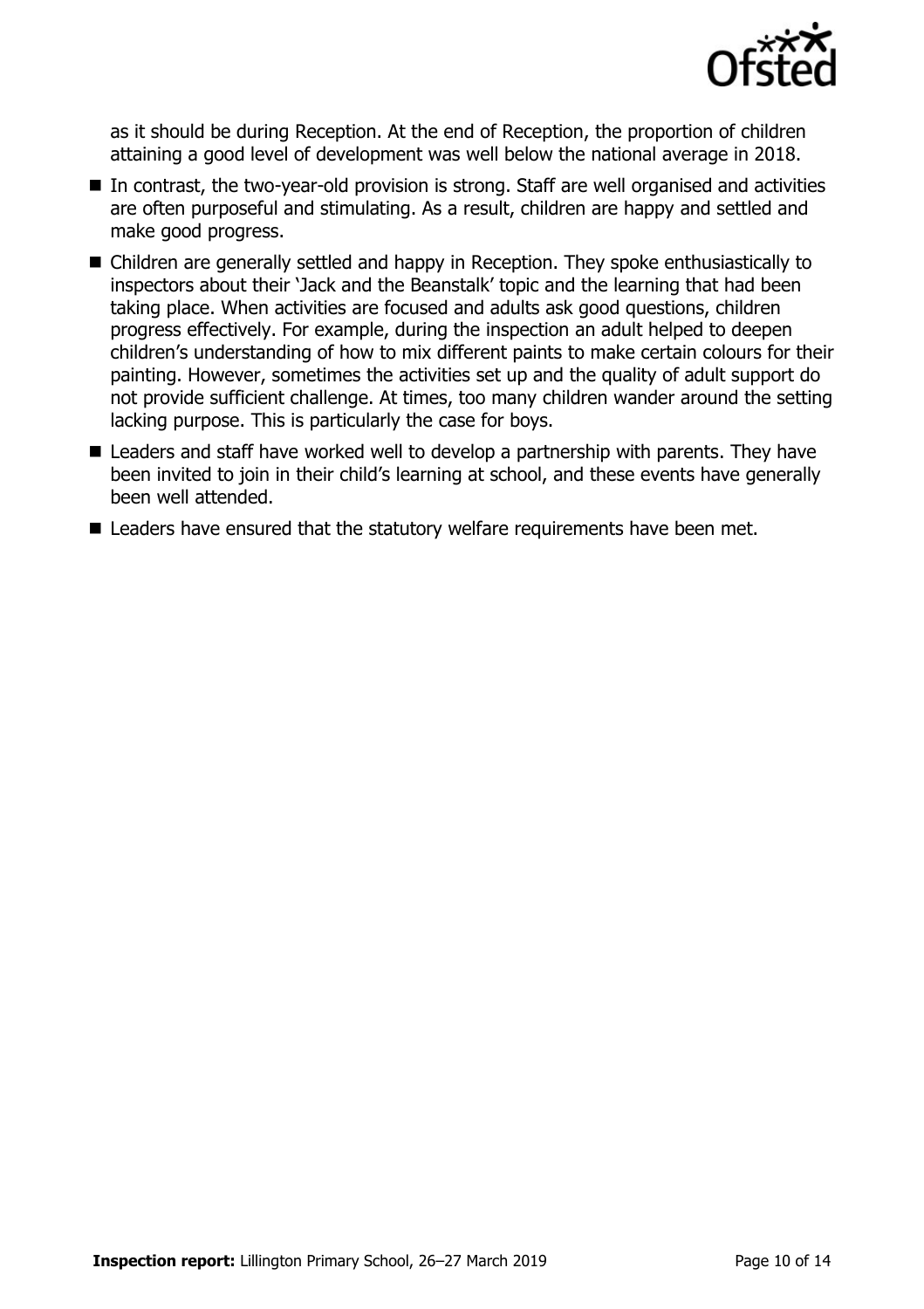

as it should be during Reception. At the end of Reception, the proportion of children attaining a good level of development was well below the national average in 2018.

- In contrast, the two-year-old provision is strong. Staff are well organised and activities are often purposeful and stimulating. As a result, children are happy and settled and make good progress.
- Children are generally settled and happy in Reception. They spoke enthusiastically to inspectors about their 'Jack and the Beanstalk' topic and the learning that had been taking place. When activities are focused and adults ask good questions, children progress effectively. For example, during the inspection an adult helped to deepen children's understanding of how to mix different paints to make certain colours for their painting. However, sometimes the activities set up and the quality of adult support do not provide sufficient challenge. At times, too many children wander around the setting lacking purpose. This is particularly the case for boys.
- Leaders and staff have worked well to develop a partnership with parents. They have been invited to join in their child's learning at school, and these events have generally been well attended.
- Leaders have ensured that the statutory welfare requirements have been met.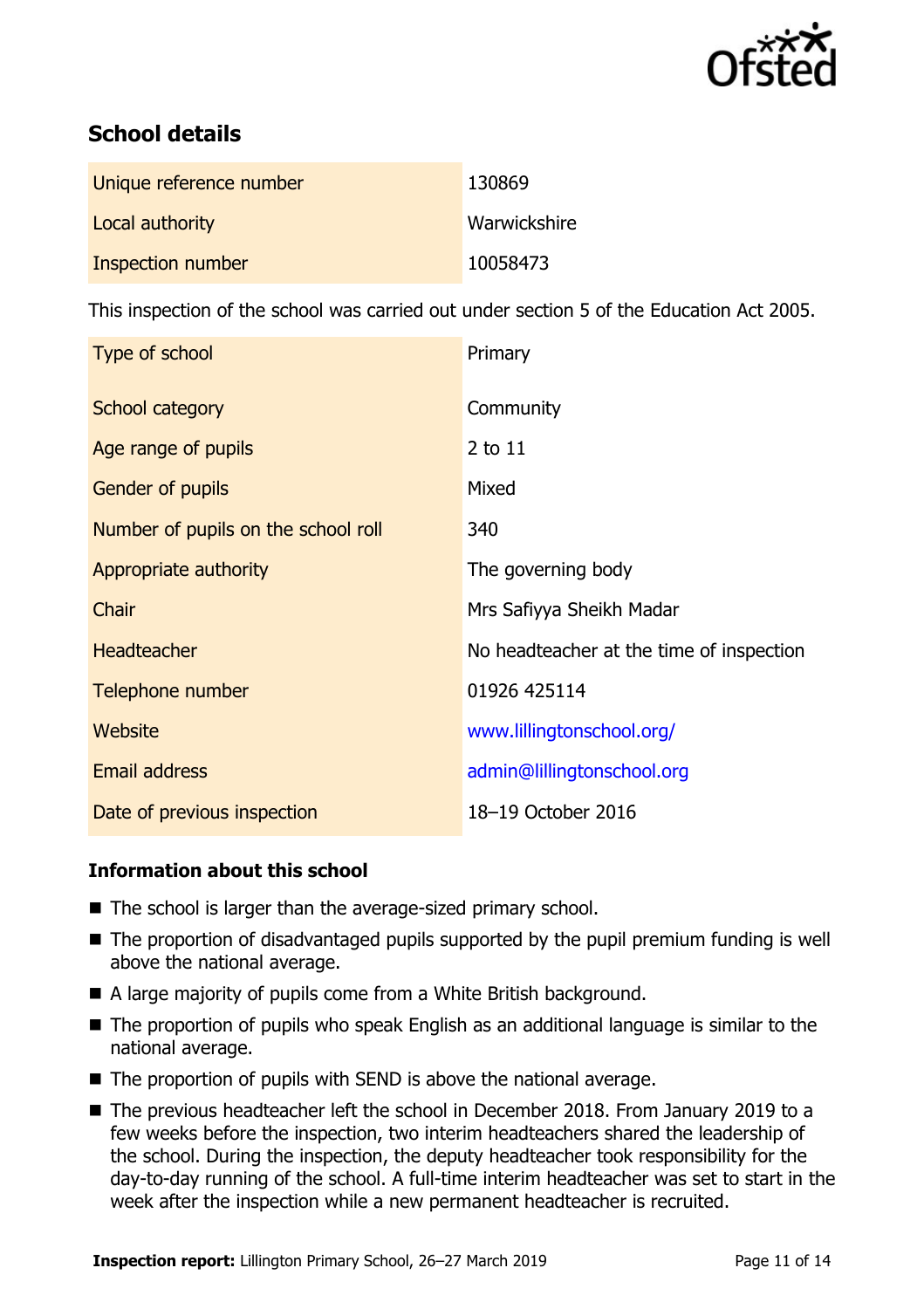

# **School details**

| Unique reference number | 130869       |
|-------------------------|--------------|
| Local authority         | Warwickshire |
| Inspection number       | 10058473     |

This inspection of the school was carried out under section 5 of the Education Act 2005.

| Type of school                      | Primary                                  |
|-------------------------------------|------------------------------------------|
| School category                     | Community                                |
| Age range of pupils                 | 2 to 11                                  |
| Gender of pupils                    | Mixed                                    |
| Number of pupils on the school roll | 340                                      |
| Appropriate authority               | The governing body                       |
| Chair                               | Mrs Safiyya Sheikh Madar                 |
| <b>Headteacher</b>                  | No headteacher at the time of inspection |
| Telephone number                    | 01926 425114                             |
| <b>Website</b>                      | www.lillingtonschool.org/                |
| Email address                       | admin@lillingtonschool.org               |
| Date of previous inspection         | 18-19 October 2016                       |

### **Information about this school**

- The school is larger than the average-sized primary school.
- The proportion of disadvantaged pupils supported by the pupil premium funding is well above the national average.
- A large majority of pupils come from a White British background.
- The proportion of pupils who speak English as an additional language is similar to the national average.
- The proportion of pupils with SEND is above the national average.
- The previous headteacher left the school in December 2018. From January 2019 to a few weeks before the inspection, two interim headteachers shared the leadership of the school. During the inspection, the deputy headteacher took responsibility for the day-to-day running of the school. A full-time interim headteacher was set to start in the week after the inspection while a new permanent headteacher is recruited.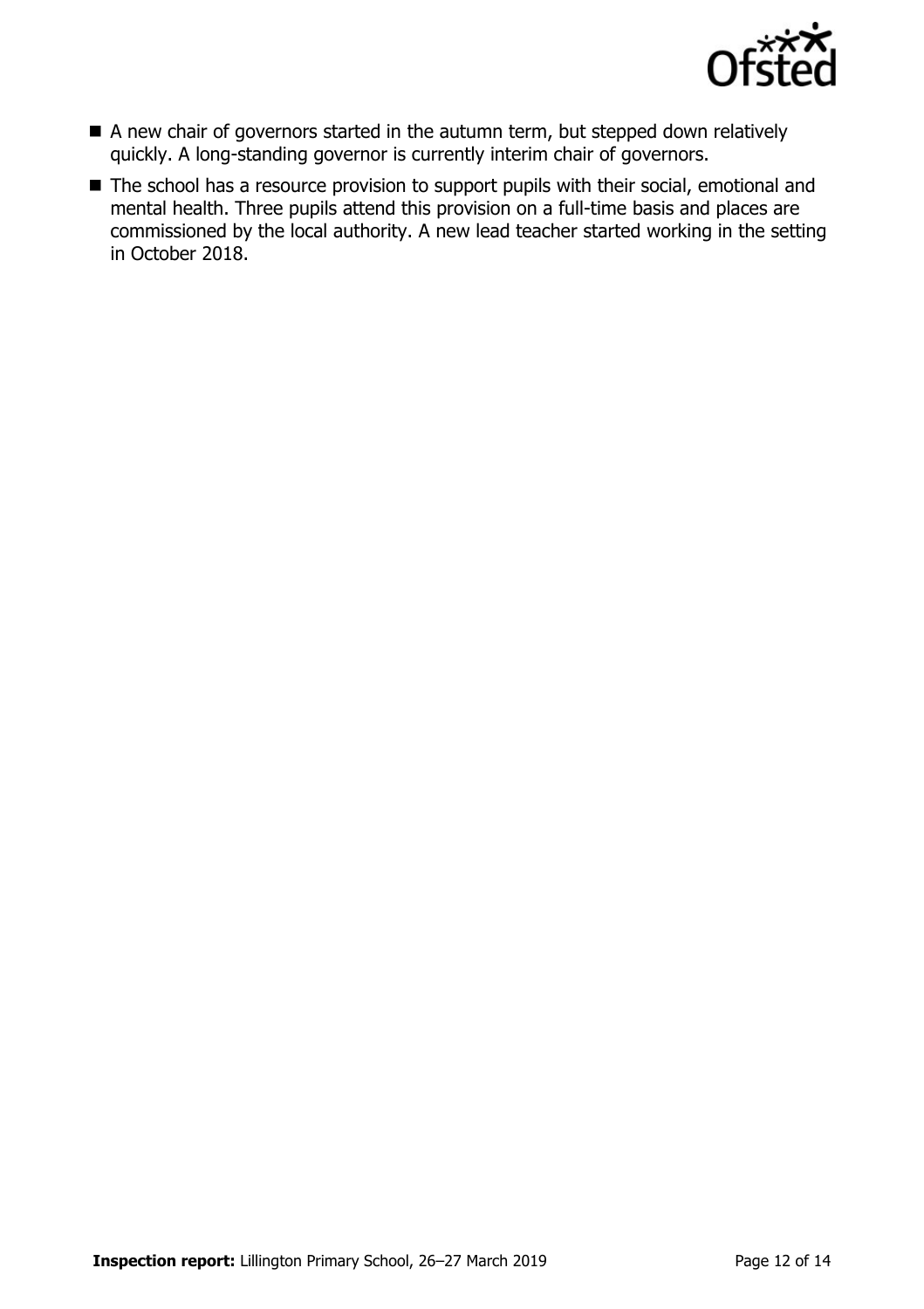

- A new chair of governors started in the autumn term, but stepped down relatively quickly. A long-standing governor is currently interim chair of governors.
- The school has a resource provision to support pupils with their social, emotional and mental health. Three pupils attend this provision on a full-time basis and places are commissioned by the local authority. A new lead teacher started working in the setting in October 2018.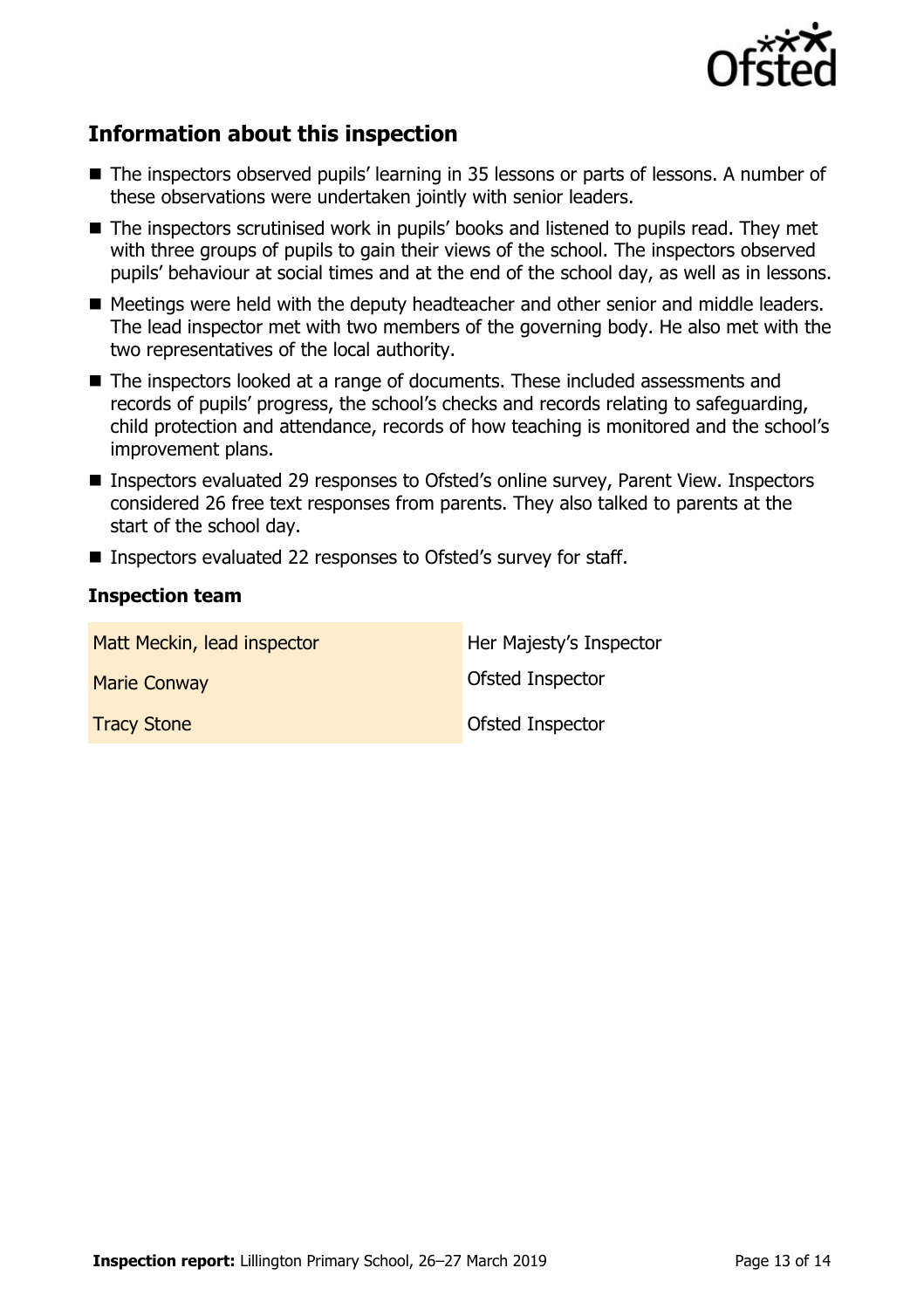

## **Information about this inspection**

- The inspectors observed pupils' learning in 35 lessons or parts of lessons. A number of these observations were undertaken jointly with senior leaders.
- The inspectors scrutinised work in pupils' books and listened to pupils read. They met with three groups of pupils to gain their views of the school. The inspectors observed pupils' behaviour at social times and at the end of the school day, as well as in lessons.
- Meetings were held with the deputy headteacher and other senior and middle leaders. The lead inspector met with two members of the governing body. He also met with the two representatives of the local authority.
- The inspectors looked at a range of documents. These included assessments and records of pupils' progress, the school's checks and records relating to safeguarding, child protection and attendance, records of how teaching is monitored and the school's improvement plans.
- Inspectors evaluated 29 responses to Ofsted's online survey, Parent View. Inspectors considered 26 free text responses from parents. They also talked to parents at the start of the school day.
- Inspectors evaluated 22 responses to Ofsted's survey for staff.

### **Inspection team**

| Matt Meckin, lead inspector | Her Majesty's Inspector |
|-----------------------------|-------------------------|
| <b>Marie Conway</b>         | Ofsted Inspector        |
| <b>Tracy Stone</b>          | Ofsted Inspector        |